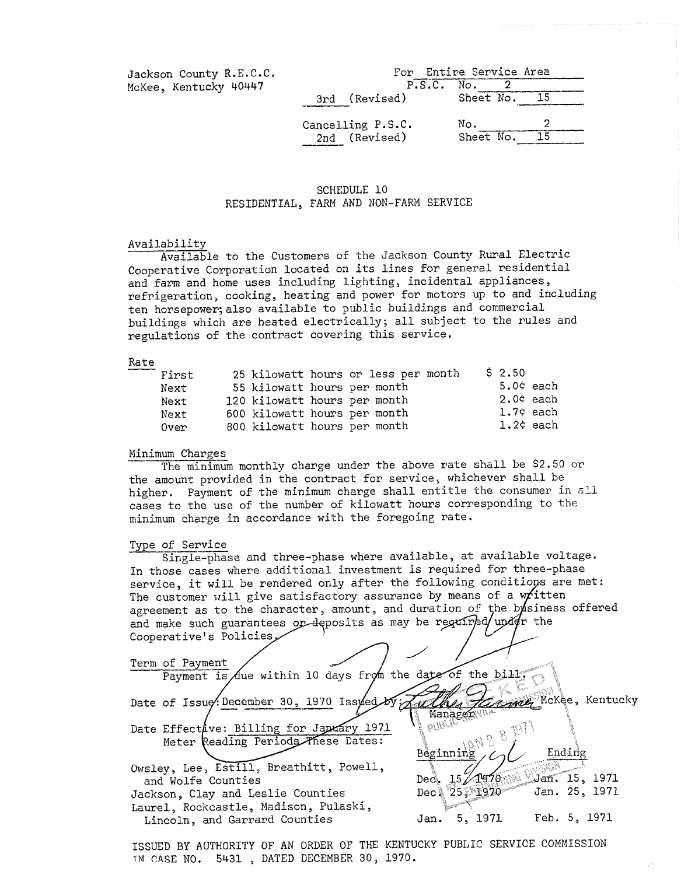Jackson County R.E.C.C. McKee, Kentucky 40447

|                   | For Entire Service Area |    |
|-------------------|-------------------------|----|
|                   |                         |    |
| P.S.C. No.        | 2                       |    |
| 3rd (Revised)     | Sheet No. 15            |    |
|                   |                         |    |
| Cancelling P.S.C. | No.                     |    |
| 2nd (Revised)     | Sheet No.               | 15 |

### SCHEDULE 10 RESIDENTIAL, FARM AND NOR-FARM SERVICE

### Availability

Available to the Customers of the Jackson County Rural Electric Cooperative Corporation located on its lines **€or** general residential and farm and home uses including lighting, incidental appliances, refrigeration, cooking, heating and power for motors up to and including ten horsepower; also available to publ.ic buildings and commercial buildings which are heated electrically; all subject **to** the rules and regulations of the contract covering this service. refrigerat<br>ten horsep<br>buildings<br>regulation<br>Rate<br>First<br>Next

| First |  | 25 kilowatt hours or less per month | \$2.50             |
|-------|--|-------------------------------------|--------------------|
| Next  |  | 55 kilowatt hours per month         | $5.0$ $\zeta$ each |
| Next  |  | 120 kilowatt hours per month        | $2.0$ ¢ each       |
| Next  |  | 600 kilowatt hours per month        | $1.7$ ¢ each       |
| Over  |  | 800 kilowatt hours per month        | $1.2$ ¢ each       |

#### **Minimum Charges**

the amount provided in the contract **for** service, whichever shall he higher. Payment of the minimum charge shall entitle the consumer in zL1 cases to the use of the number of kilowatt hours corresponding to the minimum charge in accordance with the foregoing rate. The minimum monthly charge under the above rate shall he \$2.50 or minimum charge<br>Type of Servic<br>Single-ph

### Type of Service

Single-phase and three-phase where available, at available voltage. In those cases where additional investment is required for three-phase service, it will be rendered only after the following conditions are met: The customer will give satisfactory assurance by means of a written agreement as to the character, amount, and duration of the bysiness offered and make such guarantees or deposits as may be Cooperative's Polici

Term of Payment<br>Payment is due within 10 days from the date of the bill: McKee, Kentucky Date of Issue. December 30, 1970 Issued ulhes Kavaly Managen piBL Date Effectave: Billing for Japany 1971 Meter Reading Periods These Dates: Ending Beginning Owsley, Lee, Estill, Breathitt, Powell,  $1970$ and Wolfe Counties Dec. -15 Jan. 15, 1971  $Dec<sup>8</sup>$  $25 - 1970$ Jan. 25, 1971 Jackson, Clay and Leslie Counties Laurel, Rockcastle, Madison, Pulaski, Lincoln, and Garrard Counties Jan. 5, 1971 Feb. 5, 1971

ISSUED BY AUTHORITY OF AN ORDER OF THE KENTUCKY PUBLIC SERVICE COMMISSION TN CASE NO. 5431 , DATED DECEMBER 30, 1970.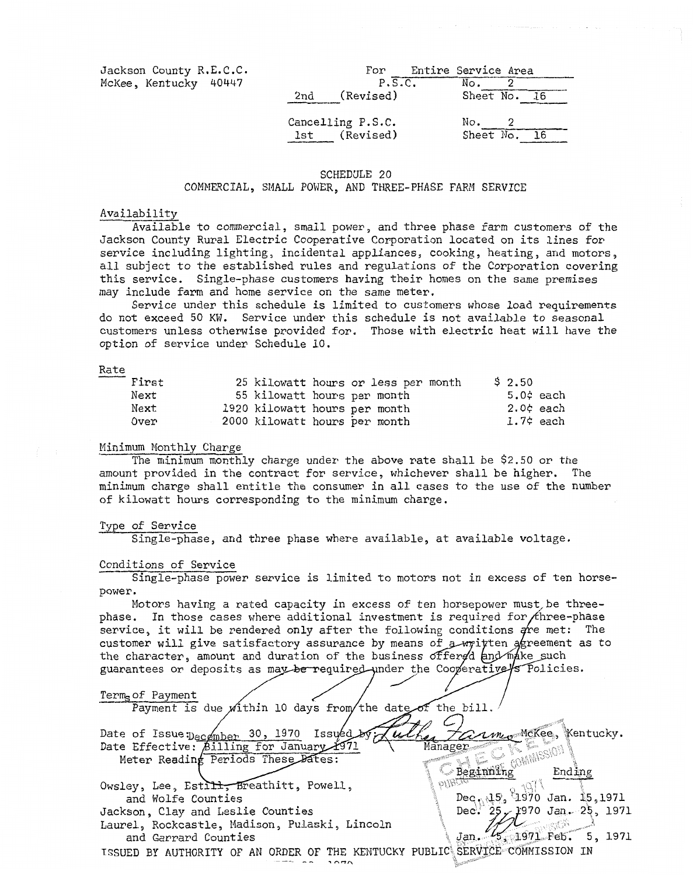| Jackson County R.E.C.C. |     | For                            | Entire Service Area |  |
|-------------------------|-----|--------------------------------|---------------------|--|
| McKee, Kentucky 40447   |     | P.S.C.                         | No.<br>2            |  |
|                         | 2nd | (Revised)                      | Sheet No. 16        |  |
|                         | lst | Cancelling P.S.C.<br>(Revised) | No.<br>Sheet No.    |  |
|                         |     |                                | - 16                |  |

#### SCHEDULE 20 COMMERCIAL, SHALL POWER, **AND** THREE-PHASE FARM SERVICE

#### Availability

Available to commercial, small power, and three phase farm customers of the Jackson County Rural Electric Cooperative Corporation located on its lines for service including lighting, incidental appliances, cooking, heating, and motors, all subject to the established rules and regulations of the Corporation covering this service. Single-phase customers having their homes on the same premises may include farm and home service on the same meter.

do not exceed 50 **KW.**  Service under this schedule is not available to seasonal customers unless otherwise provided **for,**  Those with electric heat will have the option of service under Schedule 10. Service under this schedule is limited to customers whose load requirements Servido not excess<br>customers<br>option of<br>Rate<br>First<br>Next

| First |  | 25 kilowatt hours or less per month<br>\$2.50 |              |
|-------|--|-----------------------------------------------|--------------|
| Next  |  | 55 kilowatt hours per month                   | $5.0$ ¢ each |
| Next  |  | 1920 kilowatt hours per month                 | $2.0$ ¢ each |
| Over  |  | 2000 kilowatt hours per month                 | $1.7$ ¢ each |

#### Minimum Monthly Charge

The minimum monthly charge under the above rate shall be \$2.50 or the amount provided in the contract for service, whichever shall be higher. The minimum charge shall entitle the consumer in all cases to the use of the number of kilowatt hours corresponding to the minimum charge.

#### Type of Service

Single-phase, and three phase where available, at available voltage.

#### *c\_* Conditions of Service

Single-phase power service is limited to motors not In excess of ten horsepower.

Motors having a rated capacity in excess of ten horsepower must be threephase. In those cases where additional investment is required for three-phase service, it will be rendered only after the following conditions are met: The customer will give satisfactory assurance by means of  $\alpha$ -written agreement as to the character, amount and duration of the business offered and make such guarantees or deposits as may be required under the Cooperative's Policies.

Term of Payment Payment is due within 10 days from/the date of the bill *Harm* McKee, Kentucky. Date of Issue: December 30, 1970 Issued  $u\ell$ Date Effective: Billing for January 1971 Manager **SOMMISSION** Meter Reading Periods These Dates: Beginning Ending Owsley, Lee, Estill, Breathitt, Powell,  $\partial \partial \partial \Omega$ - FTo  $\log_{10} 15.$  1970 Jan. 15,1971 and Wolfe Counties Jackson, Clay and Leslie Counties Dec<sup>3</sup>  $25/1970$  Jan. 25, 1971 Laurel., Rockcastle, Hadison, Pulaski, Lincoln レー alar 19  $\frac{1}{5}$ , 1971 Feb. 5, 1971 and Garrard Counties Jan. **ISSUED BY AUTHORITY OF AN ORDER OF THE KENTUCKY PUBLIC**